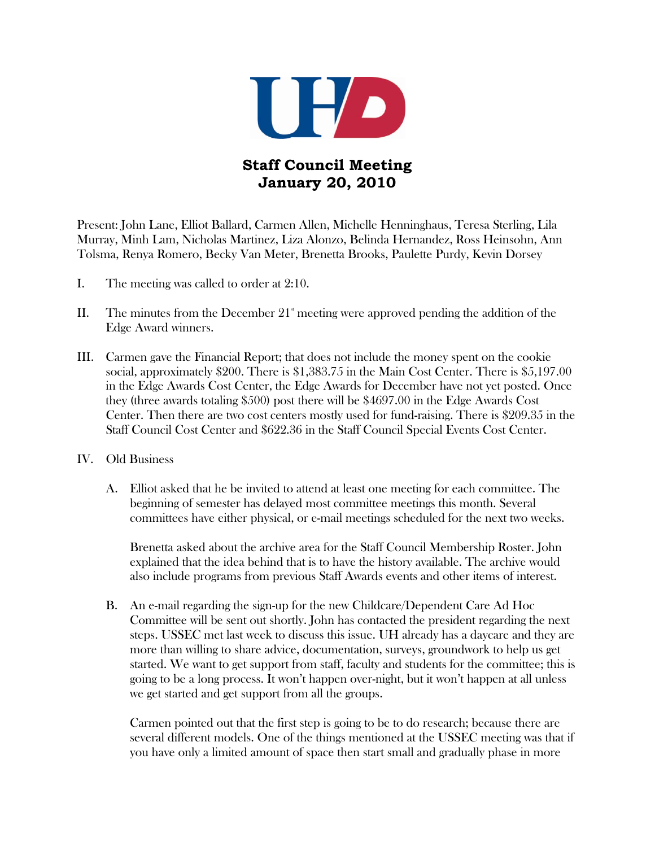

## **Staff Council Meeting January 20, 2010**

Present: John Lane, Elliot Ballard, Carmen Allen, Michelle Henninghaus, Teresa Sterling, Lila Murray, Minh Lam, Nicholas Martinez, Liza Alonzo, Belinda Hernandez, Ross Heinsohn, Ann Tolsma, Renya Romero, Becky Van Meter, Brenetta Brooks, Paulette Purdy, Kevin Dorsey

- I. The meeting was called to order at 2:10.
- II. The minutes from the December  $21^{\circ}$  meeting were approved pending the addition of the Edge Award winners.
- III. Carmen gave the Financial Report; that does not include the money spent on the cookie social, approximately \$200. There is \$1,383.75 in the Main Cost Center. There is \$5,197.00 in the Edge Awards Cost Center, the Edge Awards for December have not yet posted. Once they (three awards totaling \$500) post there will be \$4697.00 in the Edge Awards Cost Center. Then there are two cost centers mostly used for fund-raising. There is \$209.35 in the Staff Council Cost Center and \$622.36 in the Staff Council Special Events Cost Center.
- IV. Old Business
	- A. Elliot asked that he be invited to attend at least one meeting for each committee. The beginning of semester has delayed most committee meetings this month. Several committees have either physical, or e-mail meetings scheduled for the next two weeks.

Brenetta asked about the archive area for the Staff Council Membership Roster. John explained that the idea behind that is to have the history available. The archive would also include programs from previous Staff Awards events and other items of interest.

B. An e-mail regarding the sign-up for the new Childcare/Dependent Care Ad Hoc Committee will be sent out shortly. John has contacted the president regarding the next steps. USSEC met last week to discuss this issue. UH already has a daycare and they are more than willing to share advice, documentation, surveys, groundwork to help us get started. We want to get support from staff, faculty and students for the committee; this is going to be a long process. It won't happen over-night, but it won't happen at all unless we get started and get support from all the groups.

Carmen pointed out that the first step is going to be to do research; because there are several different models. One of the things mentioned at the USSEC meeting was that if you have only a limited amount of space then start small and gradually phase in more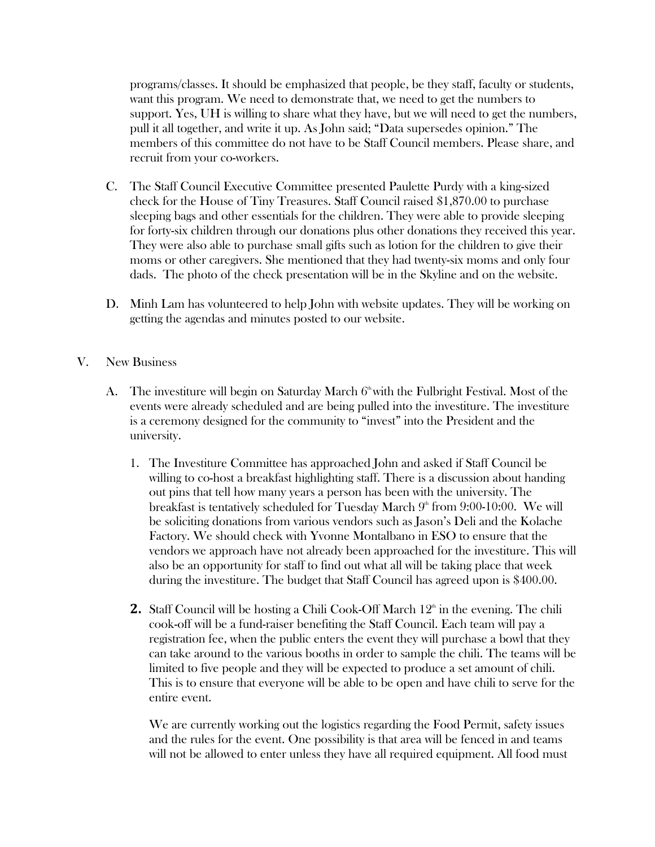programs/classes. It should be emphasized that people, be they staff, faculty or students, want this program. We need to demonstrate that, we need to get the numbers to support. Yes, UH is willing to share what they have, but we will need to get the numbers, pull it all together, and write it up. As John said; "Data supersedes opinion." The members of this committee do not have to be Staff Council members. Please share, and recruit from your co-workers.

- C. The Staff Council Executive Committee presented Paulette Purdy with a king-sized check for the House of Tiny Treasures. Staff Council raised \$1,870.00 to purchase sleeping bags and other essentials for the children. They were able to provide sleeping for forty-six children through our donations plus other donations they received this year. They were also able to purchase small gifts such as lotion for the children to give their moms or other caregivers. She mentioned that they had twenty-six moms and only four dads. The photo of the check presentation will be in the Skyline and on the website.
- D. Minh Lam has volunteered to help John with website updates. They will be working on getting the agendas and minutes posted to our website.
- V. New Business
	- A. The investiture will begin on Saturday March  $6^{\circ}$  with the Fulbright Festival. Most of the events were already scheduled and are being pulled into the investiture. The investiture is a ceremony designed for the community to "invest" into the President and the university.
		- 1. The Investiture Committee has approached John and asked if Staff Council be willing to co-host a breakfast highlighting staff. There is a discussion about handing out pins that tell how many years a person has been with the university. The breakfast is tentatively scheduled for Tuesday March  $9<sup>th</sup>$  from 9:00-10:00. We will be soliciting donations from various vendors such as Jason's Deli and the Kolache Factory. We should check with Yvonne Montalbano in ESO to ensure that the vendors we approach have not already been approached for the investiture. This will also be an opportunity for staff to find out what all will be taking place that week during the investiture. The budget that Staff Council has agreed upon is \$400.00.
		- **2.** Staff Council will be hosting a Chili Cook-Off March  $12<sup>th</sup>$  in the evening. The chili cook-off will be a fund-raiser benefiting the Staff Council. Each team will pay a registration fee, when the public enters the event they will purchase a bowl that they can take around to the various booths in order to sample the chili. The teams will be limited to five people and they will be expected to produce a set amount of chili. This is to ensure that everyone will be able to be open and have chili to serve for the entire event.

We are currently working out the logistics regarding the Food Permit, safety issues and the rules for the event. One possibility is that area will be fenced in and teams will not be allowed to enter unless they have all required equipment. All food must